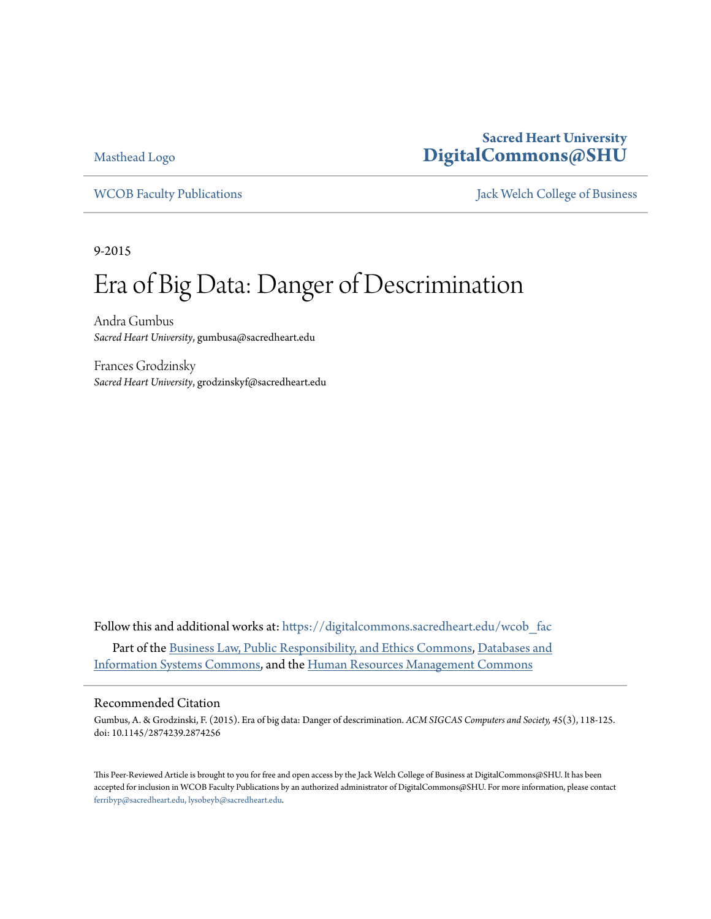[Masthead Logo](http://digitalcommons.sacredheart.edu/?utm_source=digitalcommons.sacredheart.edu%2Fwcob_fac%2F406&utm_medium=PDF&utm_campaign=PDFCoverPages)

### **Sacred Heart University [DigitalCommons@SHU](https://digitalcommons.sacredheart.edu?utm_source=digitalcommons.sacredheart.edu%2Fwcob_fac%2F406&utm_medium=PDF&utm_campaign=PDFCoverPages)**

[WCOB Faculty Publications](https://digitalcommons.sacredheart.edu/wcob_fac?utm_source=digitalcommons.sacredheart.edu%2Fwcob_fac%2F406&utm_medium=PDF&utm_campaign=PDFCoverPages) **MECOB** Faculty Publications **Accord Publications** [Jack Welch College of Business](https://digitalcommons.sacredheart.edu/wcob?utm_source=digitalcommons.sacredheart.edu%2Fwcob_fac%2F406&utm_medium=PDF&utm_campaign=PDFCoverPages)

9-2015

# Era of Big Data: Danger of Descrimination

Andra Gumbus *Sacred Heart University*, gumbusa@sacredheart.edu

Frances Grodzinsky *Sacred Heart University*, grodzinskyf@sacredheart.edu

Follow this and additional works at: [https://digitalcommons.sacredheart.edu/wcob\\_fac](https://digitalcommons.sacredheart.edu/wcob_fac?utm_source=digitalcommons.sacredheart.edu%2Fwcob_fac%2F406&utm_medium=PDF&utm_campaign=PDFCoverPages) Part of the [Business Law, Public Responsibility, and Ethics Commons,](http://network.bepress.com/hgg/discipline/628?utm_source=digitalcommons.sacredheart.edu%2Fwcob_fac%2F406&utm_medium=PDF&utm_campaign=PDFCoverPages) [Databases and](http://network.bepress.com/hgg/discipline/145?utm_source=digitalcommons.sacredheart.edu%2Fwcob_fac%2F406&utm_medium=PDF&utm_campaign=PDFCoverPages) [Information Systems Commons](http://network.bepress.com/hgg/discipline/145?utm_source=digitalcommons.sacredheart.edu%2Fwcob_fac%2F406&utm_medium=PDF&utm_campaign=PDFCoverPages), and the [Human Resources Management Commons](http://network.bepress.com/hgg/discipline/633?utm_source=digitalcommons.sacredheart.edu%2Fwcob_fac%2F406&utm_medium=PDF&utm_campaign=PDFCoverPages)

#### Recommended Citation

Gumbus, A. & Grodzinski, F. (2015). Era of big data: Danger of descrimination. *ACM SIGCAS Computers and Society, 45*(3), 118-125. doi: 10.1145/2874239.2874256

This Peer-Reviewed Article is brought to you for free and open access by the Jack Welch College of Business at DigitalCommons@SHU. It has been accepted for inclusion in WCOB Faculty Publications by an authorized administrator of DigitalCommons@SHU. For more information, please contact [ferribyp@sacredheart.edu, lysobeyb@sacredheart.edu.](mailto:ferribyp@sacredheart.edu,%20lysobeyb@sacredheart.edu)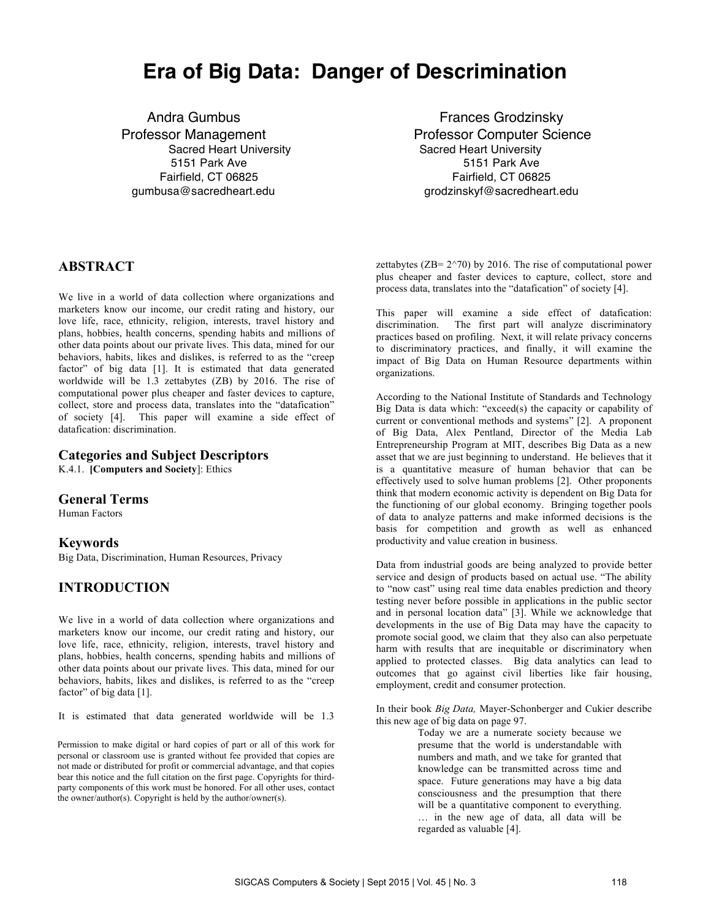## **Era of Big Data: Danger of Descrimination**

Andra Gumbus **Frances Grodzinsky** 5151 Park Ave 5151 Park Ave 5151 Park Ave 5151 Park Ave 5151 Park Ave 5151 Park Ave 5151 Park Ave 5151 Park Ave Fairfield, CT 06825 Fairfield, CT 06825 gumbusa@sacredheart.edu grodzinskyf@sacredheart.edu

Professor Management **Professor Computer Science** Sacred Heart University Sacred Heart University

#### **ABSTRACT**

We live in a world of data collection where organizations and marketers know our income, our credit rating and history, our love life, race, ethnicity, religion, interests, travel history and plans, hobbies, health concerns, spending habits and millions of other data points about our private lives. This data, mined for our behaviors, habits, likes and dislikes, is referred to as the "creep factor" of big data [1]. It is estimated that data generated worldwide will be 1.3 zettabytes (ZB) by 2016. The rise of computational power plus cheaper and faster devices to capture, collect, store and process data, translates into the "datafication" of society [4]. This paper will examine a side effect of datafication: discrimination.

#### **Categories and Subject Descriptors**

K.4.1. **[Computers and Society**]: Ethics

#### **General Terms**

Human Factors

**Keywords**<br>Big Data, Discrimination, Human Resources, Privacy

#### **INTRODUCTION**

We live in a world of data collection where organizations and marketers know our income, our credit rating and history, our love life, race, ethnicity, religion, interests, travel history and plans, hobbies, health concerns, spending habits and millions of other data points about our private lives. This data, mined for our behaviors, habits, likes and dislikes, is referred to as the "creep factor" of big data [1].

It is estimated that data generated worldwide will be 1.3

Permission to make digital or hard copies of part or all of this work for personal or classroom use is granted without fee provided that copies are not made or distributed for profit or commercial advantage, and that copies bear this notice and the full citation on the first page. Copyrights for thirdparty components of this work must be honored. For all other uses, contact the owner/author(s). Copyright is held by the author/owner(s).

zettabytes ( $ZB = 2^{\wedge}70$ ) by 2016. The rise of computational power plus cheaper and faster devices to capture, collect, store and process data, translates into the "datafication" of society [4].

This paper will examine a side effect of datafication: discrimination. The first part will analyze discriminatory practices based on profiling. Next, it will relate privacy concerns to discriminatory practices, and finally, it will examine the impact of Big Data on Human Resource departments within organizations.

According to the National Institute of Standards and Technology Big Data is data which: "exceed(s) the capacity or capability of current or conventional methods and systems" [2]. A proponent of Big Data, Alex Pentland, Director of the Media Lab Entrepreneurship Program at MIT, describes Big Data as a new asset that we are just beginning to understand. He believes that it is a quantitative measure of human behavior that can be effectively used to solve human problems [2]. Other proponents think that modern economic activity is dependent on Big Data for the functioning of our global economy. Bringing together pools of data to analyze patterns and make informed decisions is the basis for competition and growth as well as enhanced productivity and value creation in business.

Data from industrial goods are being analyzed to provide better service and design of products based on actual use. "The ability to "now cast" using real time data enables prediction and theory testing never before possible in applications in the public sector and in personal location data" [3]. While we acknowledge that developments in the use of Big Data may have the capacity to promote social good, we claim that they also can also perpetuate harm with results that are inequitable or discriminatory when applied to protected classes. Big data analytics can lead to outcomes that go against civil liberties like fair housing, employment, credit and consumer protection.

In their book *Big Data,* Mayer-Schonberger and Cukier describe this new age of big data on page 97.

> Today we are a numerate society because we presume that the world is understandable with numbers and math, and we take for granted that knowledge can be transmitted across time and space. Future generations may have a big data consciousness and the presumption that there will be a quantitative component to everything. … in the new age of data, all data will be regarded as valuable [4].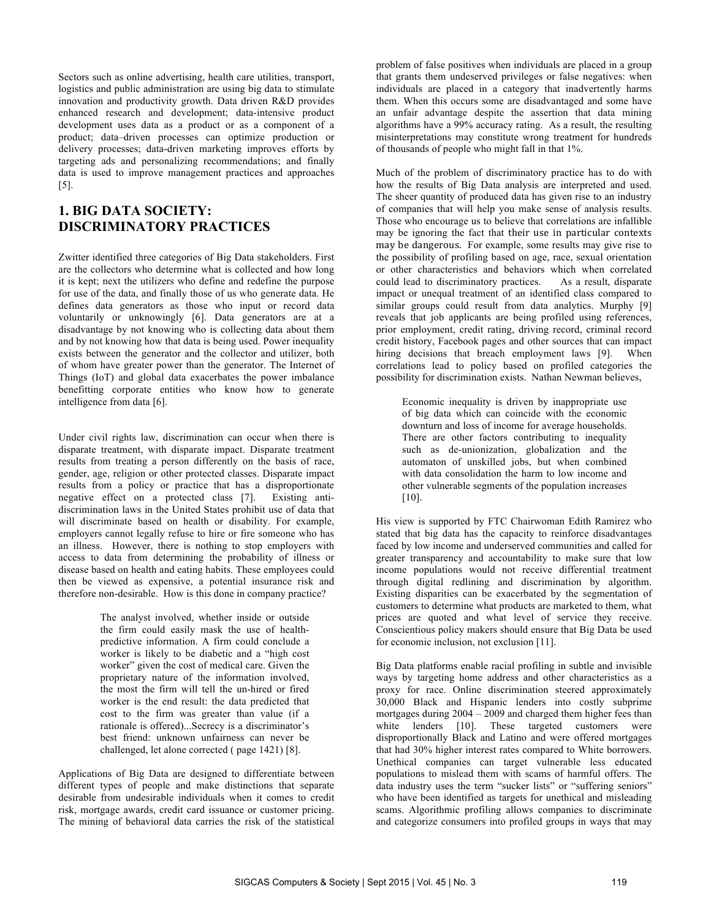Sectors such as online advertising, health care utilities, transport, logistics and public administration are using big data to stimulate innovation and productivity growth. Data driven R&D provides enhanced research and development; data-intensive product development uses data as a product or as a component of a product; data–driven processes can optimize production or delivery processes; data-driven marketing improves efforts by targeting ads and personalizing recommendations; and finally data is used to improve management practices and approaches [5].

#### **1. BIG DATA SOCIETY: DISCRIMINATORY PRACTICES**

Zwitter identified three categories of Big Data stakeholders. First are the collectors who determine what is collected and how long it is kept; next the utilizers who define and redefine the purpose for use of the data, and finally those of us who generate data. He defines data generators as those who input or record data voluntarily or unknowingly [6]. Data generators are at a disadvantage by not knowing who is collecting data about them and by not knowing how that data is being used. Power inequality exists between the generator and the collector and utilizer, both of whom have greater power than the generator. The Internet of Things (IoT) and global data exacerbates the power imbalance benefitting corporate entities who know how to generate intelligence from data [6].

Under civil rights law, discrimination can occur when there is disparate treatment, with disparate impact. Disparate treatment results from treating a person differently on the basis of race, gender, age, religion or other protected classes. Disparate impact results from a policy or practice that has a disproportionate<br>negative effect on a protected class [7]. Existing antinegative effect on a protected class [7]. discrimination laws in the United States prohibit use of data that will discriminate based on health or disability. For example, employers cannot legally refuse to hire or fire someone who has an illness. However, there is nothing to stop employers with access to data from determining the probability of illness or disease based on health and eating habits. These employees could then be viewed as expensive, a potential insurance risk and therefore non-desirable. How is this done in company practice?

> The analyst involved, whether inside or outside the firm could easily mask the use of healthpredictive information. A firm could conclude a worker is likely to be diabetic and a "high cost worker" given the cost of medical care. Given the proprietary nature of the information involved, the most the firm will tell the un-hired or fired worker is the end result: the data predicted that cost to the firm was greater than value (if a rationale is offered)...Secrecy is a discriminator's best friend: unknown unfairness can never be challenged, let alone corrected ( page 1421) [8].

Applications of Big Data are designed to differentiate between different types of people and make distinctions that separate desirable from undesirable individuals when it comes to credit risk, mortgage awards, credit card issuance or customer pricing. The mining of behavioral data carries the risk of the statistical

problem of false positives when individuals are placed in a group that grants them undeserved privileges or false negatives: when individuals are placed in a category that inadvertently harms them. When this occurs some are disadvantaged and some have an unfair advantage despite the assertion that data mining algorithms have a 99% accuracy rating. As a result, the resulting misinterpretations may constitute wrong treatment for hundreds of thousands of people who might fall in that 1%.

Much of the problem of discriminatory practice has to do with how the results of Big Data analysis are interpreted and used. The sheer quantity of produced data has given rise to an industry of companies that will help you make sense of analysis results. Those who encourage us to believe that correlations are infallible may be ignoring the fact that their use in particular contexts may be dangerous. For example, some results may give rise to the possibility of profiling based on age, race, sexual orientation or other characteristics and behaviors which when correlated could lead to discriminatory practices. As a result, disparate impact or unequal treatment of an identified class compared to similar groups could result from data analytics. Murphy [9] reveals that job applicants are being profiled using references, prior employment, credit rating, driving record, criminal record credit history, Facebook pages and other sources that can impact hiring decisions that breach employment laws [9]. When correlations lead to policy based on profiled categories the possibility for discrimination exists. Nathan Newman believes,

Economic inequality is driven by inappropriate use of big data which can coincide with the economic downturn and loss of income for average households. There are other factors contributing to inequality such as de-unionization, globalization and the automaton of unskilled jobs, but when combined with data consolidation the harm to low income and other vulnerable segments of the population increases  $[10]$ .

His view is supported by FTC Chairwoman Edith Ramirez who stated that big data has the capacity to reinforce disadvantages faced by low income and underserved communities and called for greater transparency and accountability to make sure that low income populations would not receive differential treatment through digital redlining and discrimination by algorithm. Existing disparities can be exacerbated by the segmentation of customers to determine what products are marketed to them, what prices are quoted and what level of service they receive. Conscientious policy makers should ensure that Big Data be used for economic inclusion, not exclusion [11].

Big Data platforms enable racial profiling in subtle and invisible ways by targeting home address and other characteristics as a proxy for race. Online discrimination steered approximately 30,000 Black and Hispanic lenders into costly subprime mortgages during 2004 – 2009 and charged them higher fees than white lenders [10]. These targeted customers were disproportionally Black and Latino and were offered mortgages that had 30% higher interest rates compared to White borrowers. Unethical companies can target vulnerable less educated populations to mislead them with scams of harmful offers. The data industry uses the term "sucker lists" or "suffering seniors" who have been identified as targets for unethical and misleading scams. Algorithmic profiling allows companies to discriminate and categorize consumers into profiled groups in ways that may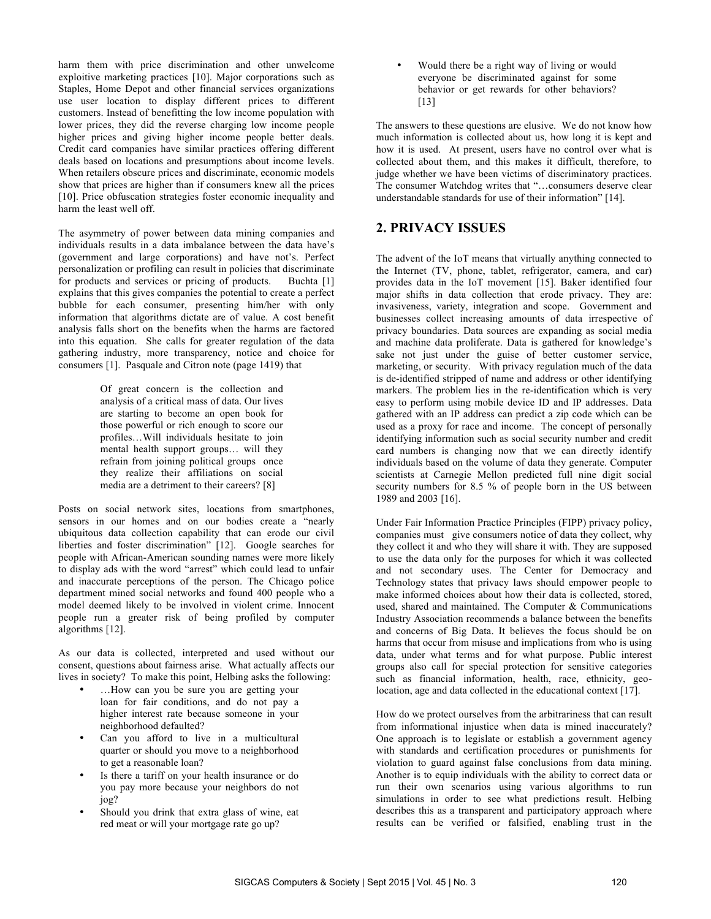harm them with price discrimination and other unwelcome exploitive marketing practices [10]. Major corporations such as Staples, Home Depot and other financial services organizations use user location to display different prices to different customers. Instead of benefitting the low income population with lower prices, they did the reverse charging low income people higher prices and giving higher income people better deals. Credit card companies have similar practices offering different deals based on locations and presumptions about income levels. When retailers obscure prices and discriminate, economic models show that prices are higher than if consumers knew all the prices [10]. Price obfuscation strategies foster economic inequality and harm the least well off.

The asymmetry of power between data mining companies and individuals results in a data imbalance between the data have's (government and large corporations) and have not's. Perfect personalization or profiling can result in policies that discriminate for products and services or pricing of products. Buchta [1] explains that this gives companies the potential to create a perfect bubble for each consumer, presenting him/her with only information that algorithms dictate are of value. A cost benefit analysis falls short on the benefits when the harms are factored into this equation. She calls for greater regulation of the data gathering industry, more transparency, notice and choice for consumers [1]. Pasquale and Citron note (page 1419) that

> Of great concern is the collection and analysis of a critical mass of data. Our lives are starting to become an open book for those powerful or rich enough to score our profiles…Will individuals hesitate to join mental health support groups… will they refrain from joining political groups once they realize their affiliations on social media are a detriment to their careers? [8]

Posts on social network sites, locations from smartphones, sensors in our homes and on our bodies create a "nearly ubiquitous data collection capability that can erode our civil liberties and foster discrimination" [12]. Google searches for people with African-American sounding names were more likely to display ads with the word "arrest" which could lead to unfair and inaccurate perceptions of the person. The Chicago police department mined social networks and found 400 people who a model deemed likely to be involved in violent crime. Innocent people run a greater risk of being profiled by computer algorithms [12].

As our data is collected, interpreted and used without our consent, questions about fairness arise. What actually affects our lives in society? To make this point, Helbing asks the following:

- …How can you be sure you are getting your loan for fair conditions, and do not pay a higher interest rate because someone in your neighborhood defaulted?
- Can you afford to live in a multicultural quarter or should you move to a neighborhood to get a reasonable loan?
- Is there a tariff on your health insurance or do you pay more because your neighbors do not jog?
- Should you drink that extra glass of wine, eat red meat or will your mortgage rate go up?

• Would there be a right way of living or would everyone be discriminated against for some behavior or get rewards for other behaviors? [13]

The answers to these questions are elusive. We do not know how much information is collected about us, how long it is kept and how it is used. At present, users have no control over what is collected about them, and this makes it difficult, therefore, to judge whether we have been victims of discriminatory practices. The consumer Watchdog writes that "…consumers deserve clear understandable standards for use of their information" [14].

#### **2. PRIVACY ISSUES**

The advent of the IoT means that virtually anything connected to the Internet (TV, phone, tablet, refrigerator, camera, and car) provides data in the IoT movement [15]. Baker identified four major shifts in data collection that erode privacy. They are: invasiveness, variety, integration and scope. Government and businesses collect increasing amounts of data irrespective of privacy boundaries. Data sources are expanding as social media and machine data proliferate. Data is gathered for knowledge's sake not just under the guise of better customer service, marketing, or security. With privacy regulation much of the data is de-identified stripped of name and address or other identifying markers. The problem lies in the re-identification which is very easy to perform using mobile device ID and IP addresses. Data gathered with an IP address can predict a zip code which can be used as a proxy for race and income. The concept of personally identifying information such as social security number and credit card numbers is changing now that we can directly identify individuals based on the volume of data they generate. Computer scientists at Carnegie Mellon predicted full nine digit social security numbers for 8.5 % of people born in the US between 1989 and 2003 [16].

Under Fair Information Practice Principles (FIPP) privacy policy, companies must give consumers notice of data they collect, why they collect it and who they will share it with. They are supposed to use the data only for the purposes for which it was collected and not secondary uses. The Center for Democracy and Technology states that privacy laws should empower people to make informed choices about how their data is collected, stored, used, shared and maintained. The Computer & Communications Industry Association recommends a balance between the benefits and concerns of Big Data. It believes the focus should be on harms that occur from misuse and implications from who is using data, under what terms and for what purpose. Public interest groups also call for special protection for sensitive categories such as financial information, health, race, ethnicity, geolocation, age and data collected in the educational context [17].

How do we protect ourselves from the arbitrariness that can result from informational injustice when data is mined inaccurately? One approach is to legislate or establish a government agency with standards and certification procedures or punishments for violation to guard against false conclusions from data mining. Another is to equip individuals with the ability to correct data or run their own scenarios using various algorithms to run simulations in order to see what predictions result. Helbing describes this as a transparent and participatory approach where results can be verified or falsified, enabling trust in the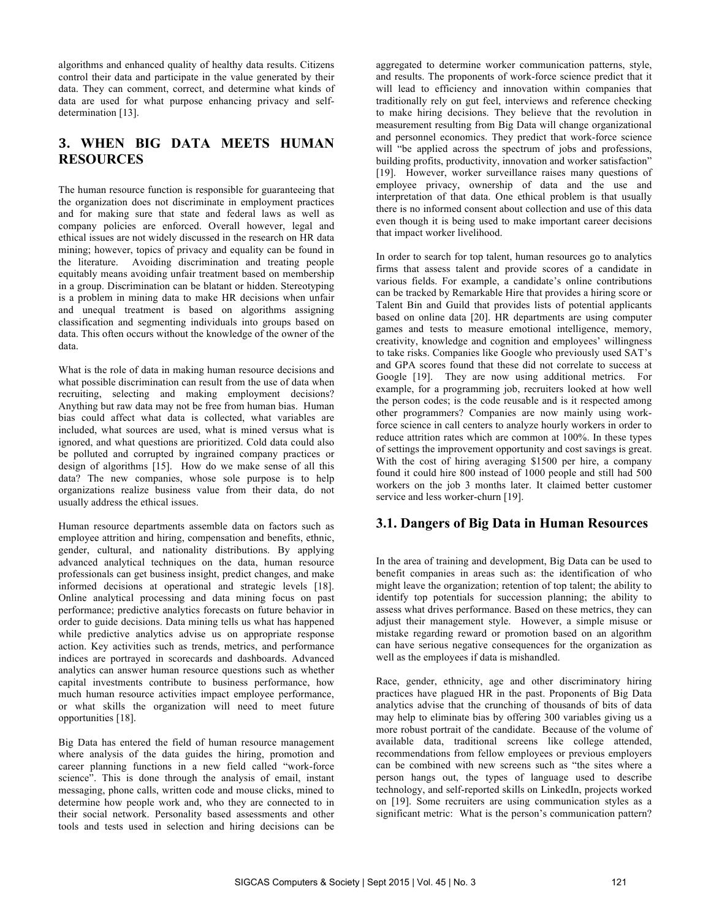algorithms and enhanced quality of healthy data results. Citizens control their data and participate in the value generated by their data. They can comment, correct, and determine what kinds of data are used for what purpose enhancing privacy and selfdetermination [13].

#### **3. WHEN BIG DATA MEETS HUMAN RESOURCES**

The human resource function is responsible for guaranteeing that the organization does not discriminate in employment practices and for making sure that state and federal laws as well as company policies are enforced. Overall however, legal and ethical issues are not widely discussed in the research on HR data mining; however, topics of privacy and equality can be found in the literature. Avoiding discrimination and treating people equitably means avoiding unfair treatment based on membership in a group. Discrimination can be blatant or hidden. Stereotyping is a problem in mining data to make HR decisions when unfair and unequal treatment is based on algorithms assigning classification and segmenting individuals into groups based on data. This often occurs without the knowledge of the owner of the data.

What is the role of data in making human resource decisions and what possible discrimination can result from the use of data when recruiting, selecting and making employment decisions? Anything but raw data may not be free from human bias. Human bias could affect what data is collected, what variables are included, what sources are used, what is mined versus what is ignored, and what questions are prioritized. Cold data could also be polluted and corrupted by ingrained company practices or design of algorithms [15]. How do we make sense of all this data? The new companies, whose sole purpose is to help organizations realize business value from their data, do not usually address the ethical issues.

Human resource departments assemble data on factors such as employee attrition and hiring, compensation and benefits, ethnic, gender, cultural, and nationality distributions. By applying advanced analytical techniques on the data, human resource professionals can get business insight, predict changes, and make informed decisions at operational and strategic levels [18]. Online analytical processing and data mining focus on past performance; predictive analytics forecasts on future behavior in order to guide decisions. Data mining tells us what has happened while predictive analytics advise us on appropriate response action. Key activities such as trends, metrics, and performance indices are portrayed in scorecards and dashboards. Advanced analytics can answer human resource questions such as whether capital investments contribute to business performance, how much human resource activities impact employee performance, or what skills the organization will need to meet future opportunities [18].

Big Data has entered the field of human resource management where analysis of the data guides the hiring, promotion and career planning functions in a new field called "work-force science". This is done through the analysis of email, instant messaging, phone calls, written code and mouse clicks, mined to determine how people work and, who they are connected to in their social network. Personality based assessments and other tools and tests used in selection and hiring decisions can be

aggregated to determine worker communication patterns, style, and results. The proponents of work-force science predict that it will lead to efficiency and innovation within companies that traditionally rely on gut feel, interviews and reference checking to make hiring decisions. They believe that the revolution in measurement resulting from Big Data will change organizational and personnel economics. They predict that work-force science will "be applied across the spectrum of jobs and professions, building profits, productivity, innovation and worker satisfaction" [19]. However, worker surveillance raises many questions of employee privacy, ownership of data and the use and interpretation of that data. One ethical problem is that usually there is no informed consent about collection and use of this data even though it is being used to make important career decisions that impact worker livelihood.

In order to search for top talent, human resources go to analytics firms that assess talent and provide scores of a candidate in various fields. For example, a candidate's online contributions can be tracked by Remarkable Hire that provides a hiring score or Talent Bin and Guild that provides lists of potential applicants based on online data [20]. HR departments are using computer games and tests to measure emotional intelligence, memory, creativity, knowledge and cognition and employees' willingness to take risks. Companies like Google who previously used SAT's and GPA scores found that these did not correlate to success at Google [19]. They are now using additional metrics. For example, for a programming job, recruiters looked at how well the person codes; is the code reusable and is it respected among other programmers? Companies are now mainly using workforce science in call centers to analyze hourly workers in order to reduce attrition rates which are common at 100%. In these types of settings the improvement opportunity and cost savings is great. With the cost of hiring averaging \$1500 per hire, a company found it could hire 800 instead of 1000 people and still had 500 workers on the job 3 months later. It claimed better customer service and less worker-churn [19].

#### **3.1. Dangers of Big Data in Human Resources**

In the area of training and development, Big Data can be used to benefit companies in areas such as: the identification of who might leave the organization; retention of top talent; the ability to identify top potentials for succession planning; the ability to assess what drives performance. Based on these metrics, they can adjust their management style. However, a simple misuse or mistake regarding reward or promotion based on an algorithm can have serious negative consequences for the organization as well as the employees if data is mishandled.

Race, gender, ethnicity, age and other discriminatory hiring practices have plagued HR in the past. Proponents of Big Data analytics advise that the crunching of thousands of bits of data may help to eliminate bias by offering 300 variables giving us a more robust portrait of the candidate. Because of the volume of available data, traditional screens like college attended, recommendations from fellow employees or previous employers can be combined with new screens such as "the sites where a person hangs out, the types of language used to describe technology, and self-reported skills on LinkedIn, projects worked on [19]. Some recruiters are using communication styles as a significant metric: What is the person's communication pattern?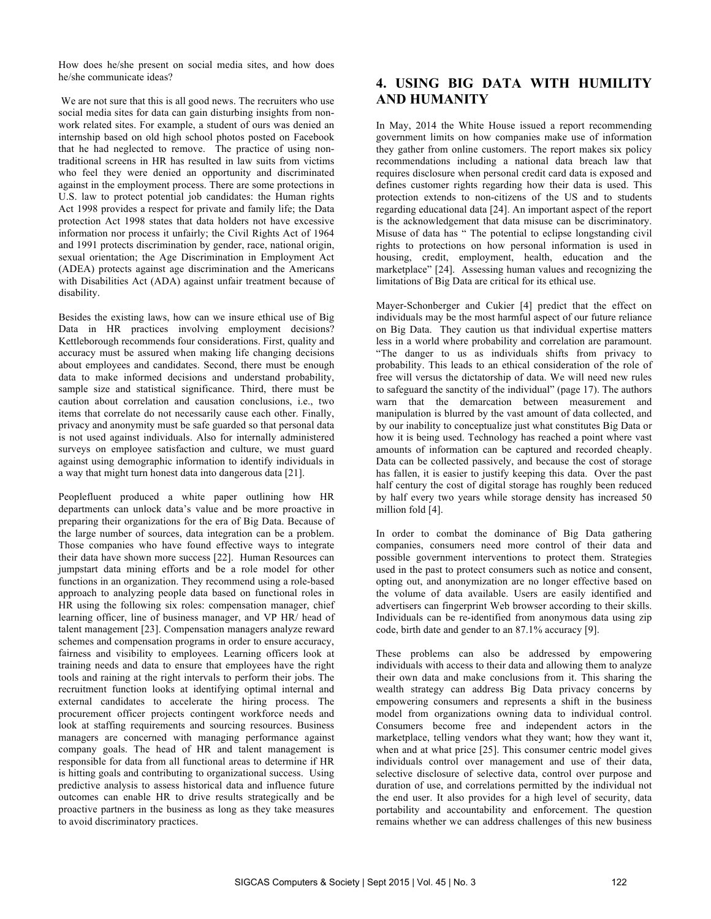How does he/she present on social media sites, and how does he/she communicate ideas?

We are not sure that this is all good news. The recruiters who use social media sites for data can gain disturbing insights from nonwork related sites. For example, a student of ours was denied an internship based on old high school photos posted on Facebook that he had neglected to remove. The practice of using nontraditional screens in HR has resulted in law suits from victims who feel they were denied an opportunity and discriminated against in the employment process. There are some protections in U.S. law to protect potential job candidates: the Human rights Act 1998 provides a respect for private and family life; the Data protection Act 1998 states that data holders not have excessive information nor process it unfairly; the Civil Rights Act of 1964 and 1991 protects discrimination by gender, race, national origin, sexual orientation; the Age Discrimination in Employment Act (ADEA) protects against age discrimination and the Americans with Disabilities Act (ADA) against unfair treatment because of disability.

Besides the existing laws, how can we insure ethical use of Big Data in HR practices involving employment decisions? Kettleborough recommends four considerations. First, quality and accuracy must be assured when making life changing decisions about employees and candidates. Second, there must be enough data to make informed decisions and understand probability, sample size and statistical significance. Third, there must be caution about correlation and causation conclusions, i.e., two items that correlate do not necessarily cause each other. Finally, privacy and anonymity must be safe guarded so that personal data is not used against individuals. Also for internally administered surveys on employee satisfaction and culture, we must guard against using demographic information to identify individuals in a way that might turn honest data into dangerous data [21].

Peoplefluent produced a white paper outlining how HR departments can unlock data's value and be more proactive in preparing their organizations for the era of Big Data. Because of the large number of sources, data integration can be a problem. Those companies who have found effective ways to integrate their data have shown more success [22]. Human Resources can jumpstart data mining efforts and be a role model for other functions in an organization. They recommend using a role-based approach to analyzing people data based on functional roles in HR using the following six roles: compensation manager, chief learning officer, line of business manager, and VP HR/ head of talent management [23]. Compensation managers analyze reward schemes and compensation programs in order to ensure accuracy, fairness and visibility to employees. Learning officers look at training needs and data to ensure that employees have the right tools and raining at the right intervals to perform their jobs. The recruitment function looks at identifying optimal internal and external candidates to accelerate the hiring process. The procurement officer projects contingent workforce needs and look at staffing requirements and sourcing resources. Business managers are concerned with managing performance against company goals. The head of HR and talent management is responsible for data from all functional areas to determine if HR is hitting goals and contributing to organizational success. Using predictive analysis to assess historical data and influence future outcomes can enable HR to drive results strategically and be proactive partners in the business as long as they take measures to avoid discriminatory practices.

#### **4. USING BIG DATA WITH HUMILITY AND HUMANITY**

In May, 2014 the White House issued a report recommending government limits on how companies make use of information they gather from online customers. The report makes six policy recommendations including a national data breach law that requires disclosure when personal credit card data is exposed and defines customer rights regarding how their data is used. This protection extends to non-citizens of the US and to students regarding educational data [24]. An important aspect of the report is the acknowledgement that data misuse can be discriminatory. Misuse of data has " The potential to eclipse longstanding civil rights to protections on how personal information is used in housing, credit, employment, health, education and the marketplace" [24]. Assessing human values and recognizing the limitations of Big Data are critical for its ethical use.

Mayer-Schonberger and Cukier [4] predict that the effect on individuals may be the most harmful aspect of our future reliance on Big Data. They caution us that individual expertise matters less in a world where probability and correlation are paramount. "The danger to us as individuals shifts from privacy to probability. This leads to an ethical consideration of the role of free will versus the dictatorship of data. We will need new rules to safeguard the sanctity of the individual" (page 17). The authors warn that the demarcation between measurement and manipulation is blurred by the vast amount of data collected, and by our inability to conceptualize just what constitutes Big Data or how it is being used. Technology has reached a point where vast amounts of information can be captured and recorded cheaply. Data can be collected passively, and because the cost of storage has fallen, it is easier to justify keeping this data. Over the past half century the cost of digital storage has roughly been reduced by half every two years while storage density has increased 50 million fold [4].

In order to combat the dominance of Big Data gathering companies, consumers need more control of their data and possible government interventions to protect them. Strategies used in the past to protect consumers such as notice and consent, opting out, and anonymization are no longer effective based on the volume of data available. Users are easily identified and advertisers can fingerprint Web browser according to their skills. Individuals can be re-identified from anonymous data using zip code, birth date and gender to an 87.1% accuracy [9].

These problems can also be addressed by empowering individuals with access to their data and allowing them to analyze their own data and make conclusions from it. This sharing the wealth strategy can address Big Data privacy concerns by empowering consumers and represents a shift in the business model from organizations owning data to individual control. Consumers become free and independent actors in the marketplace, telling vendors what they want; how they want it, when and at what price [25]. This consumer centric model gives individuals control over management and use of their data, selective disclosure of selective data, control over purpose and duration of use, and correlations permitted by the individual not the end user. It also provides for a high level of security, data portability and accountability and enforcement. The question remains whether we can address challenges of this new business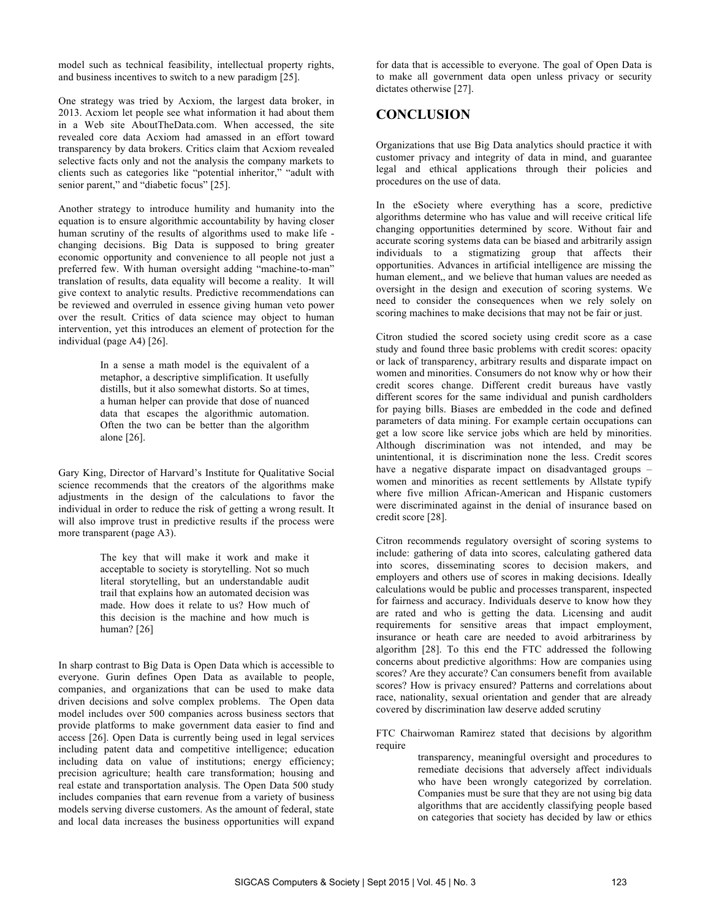model such as technical feasibility, intellectual property rights, and business incentives to switch to a new paradigm [25].

One strategy was tried by Acxiom, the largest data broker, in 2013. Acxiom let people see what information it had about them in a Web site AboutTheData.com. When accessed, the site revealed core data Acxiom had amassed in an effort toward transparency by data brokers. Critics claim that Acxiom revealed selective facts only and not the analysis the company markets to clients such as categories like "potential inheritor," "adult with senior parent," and "diabetic focus" [25].

Another strategy to introduce humility and humanity into the equation is to ensure algorithmic accountability by having closer human scrutiny of the results of algorithms used to make life changing decisions. Big Data is supposed to bring greater economic opportunity and convenience to all people not just a preferred few. With human oversight adding "machine-to-man" translation of results, data equality will become a reality. It will give context to analytic results. Predictive recommendations can be reviewed and overruled in essence giving human veto power over the result. Critics of data science may object to human intervention, yet this introduces an element of protection for the individual (page A4) [26].

> In a sense a math model is the equivalent of a metaphor, a descriptive simplification. It usefully distills, but it also somewhat distorts. So at times, a human helper can provide that dose of nuanced data that escapes the algorithmic automation. Often the two can be better than the algorithm alone [26].

Gary King, Director of Harvard's Institute for Qualitative Social science recommends that the creators of the algorithms make adjustments in the design of the calculations to favor the individual in order to reduce the risk of getting a wrong result. It will also improve trust in predictive results if the process were more transparent (page A3).

> The key that will make it work and make it acceptable to society is storytelling. Not so much literal storytelling, but an understandable audit trail that explains how an automated decision was made. How does it relate to us? How much of this decision is the machine and how much is human? [26]

In sharp contrast to Big Data is Open Data which is accessible to everyone. Gurin defines Open Data as available to people, companies, and organizations that can be used to make data driven decisions and solve complex problems. The Open data model includes over 500 companies across business sectors that provide platforms to make government data easier to find and access [26]. Open Data is currently being used in legal services including patent data and competitive intelligence; education including data on value of institutions; energy efficiency; precision agriculture; health care transformation; housing and real estate and transportation analysis. The Open Data 500 study includes companies that earn revenue from a variety of business models serving diverse customers. As the amount of federal, state and local data increases the business opportunities will expand

for data that is accessible to everyone. The goal of Open Data is to make all government data open unless privacy or security dictates otherwise [27].

#### **CONCLUSION**

Organizations that use Big Data analytics should practice it with customer privacy and integrity of data in mind, and guarantee legal and ethical applications through their policies and procedures on the use of data.

In the eSociety where everything has a score, predictive algorithms determine who has value and will receive critical life changing opportunities determined by score. Without fair and accurate scoring systems data can be biased and arbitrarily assign individuals to a stigmatizing group that affects their opportunities. Advances in artificial intelligence are missing the human element,, and we believe that human values are needed as oversight in the design and execution of scoring systems. We need to consider the consequences when we rely solely on scoring machines to make decisions that may not be fair or just.

Citron studied the scored society using credit score as a case study and found three basic problems with credit scores: opacity or lack of transparency, arbitrary results and disparate impact on women and minorities. Consumers do not know why or how their credit scores change. Different credit bureaus have vastly different scores for the same individual and punish cardholders for paying bills. Biases are embedded in the code and defined parameters of data mining. For example certain occupations can get a low score like service jobs which are held by minorities. Although discrimination was not intended, and may be unintentional, it is discrimination none the less. Credit scores have a negative disparate impact on disadvantaged groups – women and minorities as recent settlements by Allstate typify where five million African-American and Hispanic customers were discriminated against in the denial of insurance based on credit score [28].

Citron recommends regulatory oversight of scoring systems to include: gathering of data into scores, calculating gathered data into scores, disseminating scores to decision makers, and employers and others use of scores in making decisions. Ideally calculations would be public and processes transparent, inspected for fairness and accuracy. Individuals deserve to know how they are rated and who is getting the data. Licensing and audit requirements for sensitive areas that impact employment, insurance or heath care are needed to avoid arbitrariness by algorithm [28]. To this end the FTC addressed the following concerns about predictive algorithms: How are companies using scores? Are they accurate? Can consumers benefit from available scores? How is privacy ensured? Patterns and correlations about race, nationality, sexual orientation and gender that are already covered by discrimination law deserve added scrutiny

FTC Chairwoman Ramirez stated that decisions by algorithm require

> transparency, meaningful oversight and procedures to remediate decisions that adversely affect individuals who have been wrongly categorized by correlation. Companies must be sure that they are not using big data algorithms that are accidently classifying people based on categories that society has decided by law or ethics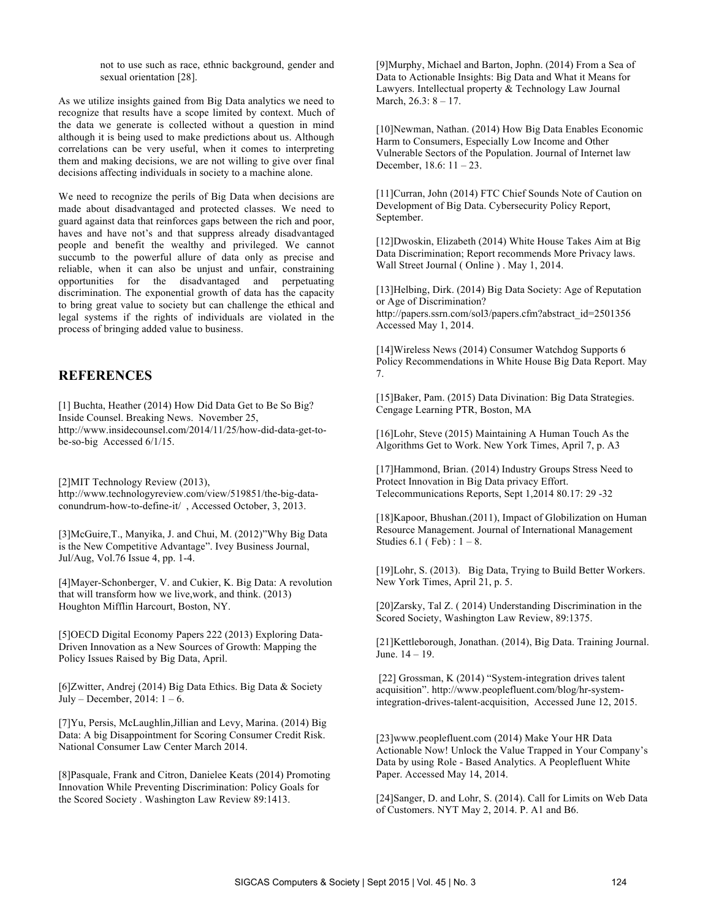not to use such as race, ethnic background, gender and sexual orientation [28].

As we utilize insights gained from Big Data analytics we need to recognize that results have a scope limited by context. Much of the data we generate is collected without a question in mind although it is being used to make predictions about us. Although correlations can be very useful, when it comes to interpreting them and making decisions, we are not willing to give over final decisions affecting individuals in society to a machine alone.

We need to recognize the perils of Big Data when decisions are made about disadvantaged and protected classes. We need to guard against data that reinforces gaps between the rich and poor, haves and have not's and that suppress already disadvantaged people and benefit the wealthy and privileged. We cannot succumb to the powerful allure of data only as precise and reliable, when it can also be unjust and unfair, constraining opportunities for the disadvantaged and perpetuating discrimination. The exponential growth of data has the capacity to bring great value to society but can challenge the ethical and legal systems if the rights of individuals are violated in the process of bringing added value to business.

#### **REFERENCES**

[1] Buchta, Heather (2014) How Did Data Get to Be So Big? Inside Counsel. Breaking News. November 25, http://www.insidecounsel.com/2014/11/25/how-did-data-get-tobe-so-big Accessed 6/1/15.

[2]MIT Technology Review (2013),

http://www.technologyreview.com/view/519851/the-big-dataconundrum-how-to-define-it/ , Accessed October, 3, 2013.

[3]McGuire,T., Manyika, J. and Chui, M. (2012)"Why Big Data is the New Competitive Advantage". Ivey Business Journal, Jul/Aug, Vol.76 Issue 4, pp. 1-4.

[4]Mayer-Schonberger, V. and Cukier, K. Big Data: A revolution that will transform how we live,work, and think. (2013) Houghton Mifflin Harcourt, Boston, NY.

[5]OECD Digital Economy Papers 222 (2013) Exploring Data-Driven Innovation as a New Sources of Growth: Mapping the Policy Issues Raised by Big Data, April.

[6]Zwitter, Andrej (2014) Big Data Ethics. Big Data & Society July – December, 2014:  $1 - 6$ .

[7]Yu, Persis, McLaughlin,Jillian and Levy, Marina. (2014) Big Data: A big Disappointment for Scoring Consumer Credit Risk. National Consumer Law Center March 2014.

[8]Pasquale, Frank and Citron, Danielee Keats (2014) Promoting Innovation While Preventing Discrimination: Policy Goals for the Scored Society . Washington Law Review 89:1413.

[9]Murphy, Michael and Barton, Jophn. (2014) From a Sea of Data to Actionable Insights: Big Data and What it Means for Lawyers. Intellectual property & Technology Law Journal March, 26.3: 8 – 17.

[10]Newman, Nathan. (2014) How Big Data Enables Economic Harm to Consumers, Especially Low Income and Other Vulnerable Sectors of the Population. Journal of Internet law December, 18.6: 11 – 23.

[11]Curran, John (2014) FTC Chief Sounds Note of Caution on Development of Big Data. Cybersecurity Policy Report, September.

[12]Dwoskin, Elizabeth (2014) White House Takes Aim at Big Data Discrimination; Report recommends More Privacy laws. Wall Street Journal ( Online ) . May 1, 2014.

[13] Helbing, Dirk. (2014) Big Data Society: Age of Reputation or Age of Discrimination? http://papers.ssrn.com/sol3/papers.cfm?abstract\_id=2501356 Accessed May 1, 2014.

[14]Wireless News (2014) Consumer Watchdog Supports 6 Policy Recommendations in White House Big Data Report. May 7.

[15]Baker, Pam. (2015) Data Divination: Big Data Strategies. Cengage Learning PTR, Boston, MA

[16]Lohr, Steve (2015) Maintaining A Human Touch As the Algorithms Get to Work. New York Times, April 7, p. A3

[17]Hammond, Brian. (2014) Industry Groups Stress Need to Protect Innovation in Big Data privacy Effort. Telecommunications Reports, Sept 1,2014 80.17: 29 -32

[18] Kapoor, Bhushan. (2011), Impact of Globilization on Human Resource Management. Journal of International Management Studies  $6.1$  (Feb) :  $1 - 8$ .

[19]Lohr, S. (2013). Big Data, Trying to Build Better Workers. New York Times, April 21, p. 5.

[20]Zarsky, Tal Z. ( 2014) Understanding Discrimination in the Scored Society, Washington Law Review, 89:1375.

[21]Kettleborough, Jonathan. (2014), Big Data. Training Journal. June. 14 – 19.

[22] Grossman, K (2014) "System-integration drives talent acquisition". http://www.peoplefluent.com/blog/hr-systemintegration-drives-talent-acquisition, Accessed June 12, 2015.

[23]www.peoplefluent.com (2014) Make Your HR Data Actionable Now! Unlock the Value Trapped in Your Company's Data by using Role - Based Analytics. A Peoplefluent White Paper. Accessed May 14, 2014.

[24]Sanger, D. and Lohr, S. (2014). Call for Limits on Web Data of Customers. NYT May 2, 2014. P. A1 and B6.